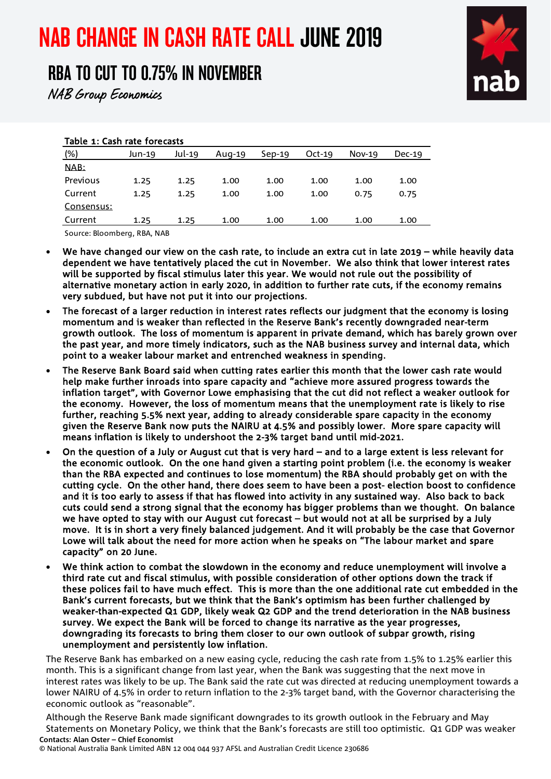# NAB CHANGE IN CASH RATE CALL JUNE 2019

# RBA TO CUT TO 0.75% IN NOVEMBER

NAB Group Economics

#### Table 1: Cash rate forecasts

| (% )       | Jun-19 | Jul-19 | Aug-19 | $Sep-19$ | $Oct-19$ | $Nov-19$ | $Dec-19$ |
|------------|--------|--------|--------|----------|----------|----------|----------|
| NAB:       |        |        |        |          |          |          |          |
| Previous   | 1.25   | 1.25   | 1.00   | 1.00     | 1.00     | 1.00     | 1.00     |
| Current    | 1.25   | 1.25   | 1.00   | 1.00     | 1.00     | 0.75     | 0.75     |
| Consensus: |        |        |        |          |          |          |          |
| Current    | 1.25   | 1.25   | 1.00   | 1.00     | 1.00     | 1.00     | 1.00     |
|            |        |        |        |          |          |          |          |

Source: Bloomberg, RBA, NAB

- We have changed our view on the cash rate, to include an extra cut in late 2019 while heavily data dependent we have tentatively placed the cut in November. We also think that lower interest rates will be supported by fiscal stimulus later this year. We would not rule out the possibility of alternative monetary action in early 2020, in addition to further rate cuts, if the economy remains very subdued, but have not put it into our projections.
- The forecast of a larger reduction in interest rates reflects our judgment that the economy is losing momentum and is weaker than reflected in the Reserve Bank's recently downgraded near-term growth outlook. The loss of momentum is apparent in private demand, which has barely grown over the past year, and more timely indicators, such as the NAB business survey and internal data, which point to a weaker labour market and entrenched weakness in spending.
- The Reserve Bank Board said when cutting rates earlier this month that the lower cash rate would help make further inroads into spare capacity and "achieve more assured progress towards the inflation target", with Governor Lowe emphasising that the cut did not reflect a weaker outlook for the economy. However, the loss of momentum means that the unemployment rate is likely to rise further, reaching 5.5% next year, adding to already considerable spare capacity in the economy given the Reserve Bank now puts the NAIRU at 4.5% and possibly lower. More spare capacity will means inflation is likely to undershoot the 2-3% target band until mid-2021.
- On the question of a July or August cut that is very hard and to a large extent is less relevant for the economic outlook. On the one hand given a starting point problem (i.e. the economy is weaker than the RBA expected and continues to lose momentum) the RBA should probably get on with the cutting cycle. On the other hand, there does seem to have been a post- election boost to confidence and it is too early to assess if that has flowed into activity in any sustained way. Also back to back cuts could send a strong signal that the economy has bigger problems than we thought. On balance we have opted to stay with our August cut forecast – but would not at all be surprised by a July move. It is in short a very finely balanced judgement. And it will probably be the case that Governor Lowe will talk about the need for more action when he speaks on "The labour market and spare capacity" on 20 June.
- We think action to combat the slowdown in the economy and reduce unemployment will involve a third rate cut and fiscal stimulus, with possible consideration of other options down the track if these polices fail to have much effect. This is more than the one additional rate cut embedded in the Bank's current forecasts, but we think that the Bank's optimism has been further challenged by weaker-than-expected Q1 GDP, likely weak Q2 GDP and the trend deterioration in the NAB business survey. We expect the Bank will be forced to change its narrative as the year progresses, downgrading its forecasts to bring them closer to our own outlook of subpar growth, rising unemployment and persistently low inflation.

The Reserve Bank has embarked on a new easing cycle, reducing the cash rate from 1.5% to 1.25% earlier this month. This is a significant change from last year, when the Bank was suggesting that the next move in interest rates was likely to be up. The Bank said the rate cut was directed at reducing unemployment towards a lower NAIRU of 4.5% in order to return inflation to the 2-3% target band, with the Governor characterising the economic outlook as "reasonable".

**Contacts: Alan Oster – Chief Economist** Although the Reserve Bank made significant downgrades to its growth outlook in the February and May Statements on Monetary Policy, we think that the Bank's forecasts are still too optimistic. Q1 GDP was weaker

© National Australia Bank Limited ABN 12 004 044 937 AFSL and Australian Credit Licence 230686

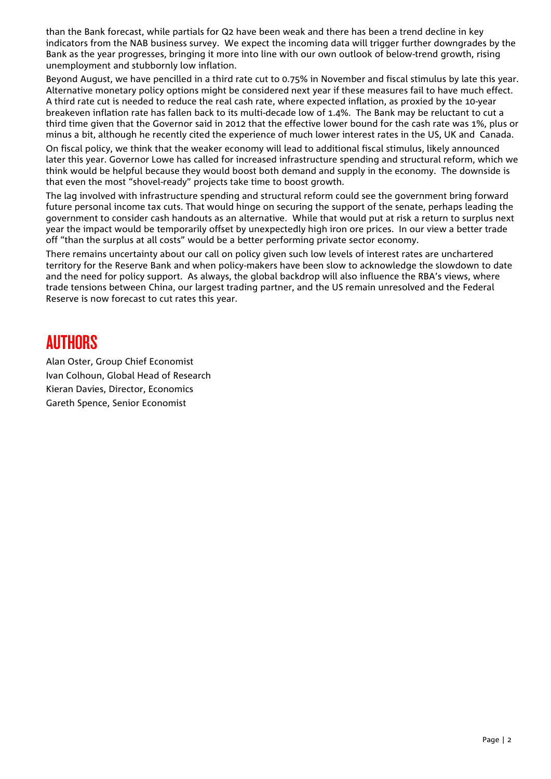than the Bank forecast, while partials for Q2 have been weak and there has been a trend decline in key indicators from the NAB business survey. We expect the incoming data will trigger further downgrades by the Bank as the year progresses, bringing it more into line with our own outlook of below-trend growth, rising unemployment and stubbornly low inflation.

Beyond August, we have pencilled in a third rate cut to 0.75% in November and fiscal stimulus by late this year. Alternative monetary policy options might be considered next year if these measures fail to have much effect. A third rate cut is needed to reduce the real cash rate, where expected inflation, as proxied by the 10-year breakeven inflation rate has fallen back to its multi-decade low of 1.4%. The Bank may be reluctant to cut a third time given that the Governor said in 2012 that the effective lower bound for the cash rate was 1%, plus or minus a bit, although he recently cited the experience of much lower interest rates in the US, UK and Canada.

On fiscal policy, we think that the weaker economy will lead to additional fiscal stimulus, likely announced later this year. Governor Lowe has called for increased infrastructure spending and structural reform, which we think would be helpful because they would boost both demand and supply in the economy. The downside is that even the most "shovel-ready" projects take time to boost growth.

The lag involved with infrastructure spending and structural reform could see the government bring forward future personal income tax cuts. That would hinge on securing the support of the senate, perhaps leading the government to consider cash handouts as an alternative. While that would put at risk a return to surplus next year the impact would be temporarily offset by unexpectedly high iron ore prices. In our view a better trade off "than the surplus at all costs" would be a better performing private sector economy.

There remains uncertainty about our call on policy given such low levels of interest rates are unchartered territory for the Reserve Bank and when policy-makers have been slow to acknowledge the slowdown to date and the need for policy support. As always, the global backdrop will also influence the RBA's views, where trade tensions between China, our largest trading partner, and the US remain unresolved and the Federal Reserve is now forecast to cut rates this year.

## **AUTHORS**

Alan Oster, Group Chief Economist Ivan Colhoun, Global Head of Research Kieran Davies, Director, Economics Gareth Spence, Senior Economist